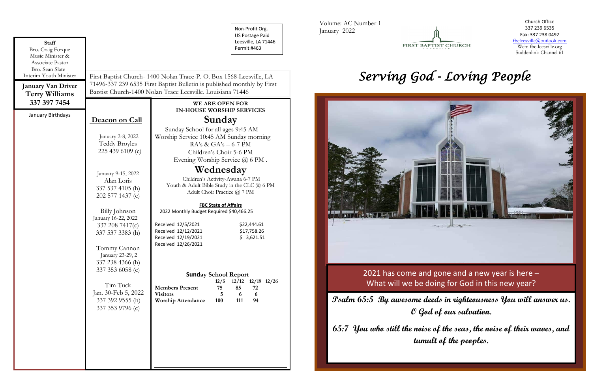| <b>Staff</b><br>Bro. Craig Forque                                                                                                       |                                                                                                                                                                                                             |                                                                                                                                                                        | Non-Profit Org.<br><b>US Postage Paid</b><br>Leesville, LA 71446<br>Permit #463 |
|-----------------------------------------------------------------------------------------------------------------------------------------|-------------------------------------------------------------------------------------------------------------------------------------------------------------------------------------------------------------|------------------------------------------------------------------------------------------------------------------------------------------------------------------------|---------------------------------------------------------------------------------|
| Music Minister &<br>Associate Pastor<br>Bro. Sean Slate<br>Interim Youth Minister<br><b>January Van Driver</b><br><b>Terry Williams</b> | First Baptist Church-1400 Nolan Trace-P. O. Box 1568-Leesville, LA<br>71496-337 239 6535 First Baptist Bulletin is published monthly by First<br>Baptist Church-1400 Nolan Trace Leesville, Louisiana 71446 |                                                                                                                                                                        |                                                                                 |
| 337 397 7454                                                                                                                            |                                                                                                                                                                                                             |                                                                                                                                                                        | <b>WE ARE OPEN FOR</b><br><b>IN-HOUSE WORSHIP SERVICES</b>                      |
| January Birthdays                                                                                                                       | Deacon on Call                                                                                                                                                                                              | Sunday                                                                                                                                                                 |                                                                                 |
|                                                                                                                                         | January 2-8, 2022<br><b>Teddy Broyles</b><br>225 439 6109 (c)                                                                                                                                               | Sunday School for all ages 9:45 AM<br>Worship Service 10:45 AM Sunday morning<br>$RA's \& GA's - 6-7 PM$<br>Children's Choir 5-6 PM<br>Evening Worship Service @ 6 PM. |                                                                                 |
|                                                                                                                                         | January 9-15, 2022<br>Alan Loris<br>337 537 4105 (h)<br>202 577 1437 (c)                                                                                                                                    | Wednesday<br>Children's Activity-Awana 6-7 PM<br>Youth & Adult Bible Study in the CLC @ 6 PM<br>Adult Choir Practice @ 7 PM                                            |                                                                                 |
|                                                                                                                                         |                                                                                                                                                                                                             | <b>FBC State of Affairs</b>                                                                                                                                            |                                                                                 |
|                                                                                                                                         | Billy Johnson<br>January 16-22, 2022<br>337 208 7417(c)<br>337 537 3383 (h)<br>Tommy Cannon<br>January 23-29, 2<br>337 238 4366 (h)                                                                         | 2022 Monthly Budget Required \$40,466.25<br>Received 12/5/2021<br>Received 12/12/2021<br>Received 12/19/2021<br>Received 12/26/2021                                    | \$22,444.61<br>\$17,758.26<br>\$3,621.51                                        |
|                                                                                                                                         | 337 353 6058 (c)                                                                                                                                                                                            | <b>Sunday School Report</b>                                                                                                                                            |                                                                                 |
|                                                                                                                                         | Tim Tuck<br>Jan. 30-Feb 5, 2022<br>337 392 9555 (h)<br>337 353 9796 (c)                                                                                                                                     | <b>Members Present</b><br><b>Visitors</b><br><b>Worship Attendance</b>                                                                                                 | 12/12 12/19 12/26<br>12/5<br>75<br>85<br>72<br>6<br>6<br>5<br>100<br>111<br>94  |
|                                                                                                                                         |                                                                                                                                                                                                             |                                                                                                                                                                        |                                                                                 |

Volume: AC Number 1 January 2022



Church Office 337 239 6535 Fax: 337 238 0492 fbcleesville@outlook.com Web: fbc-leesville.org Suddenlink-Channel 61

# *Serving God - Loving People*